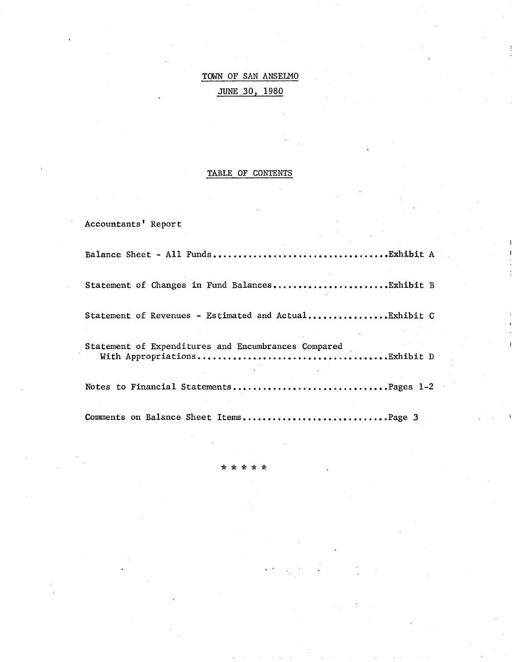# TOWN OF SAN ANSELMO JUNE 30, 1980

# TABLE OF CONTENTS

Accountants' Report

| Statement of Changes in Fund BalancesExhibit B        |  |
|-------------------------------------------------------|--|
| Statement of Revenues - Estimated and ActualExhibit C |  |
| Statement of Expenditures and Encumbrances Compared   |  |
| Notes to Financial StatementsPages 1-2                |  |
| Comments on Balance Sheet ItemsPage 3                 |  |

\* \* \* \* \*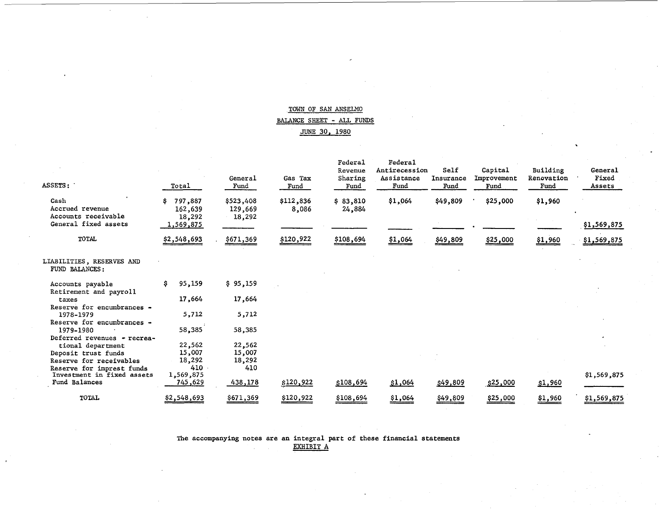# TOWN OF SAN ANSELMO BALANCE SHEET - ALL FUNDS JUNE 30, 1980

| <b>ASSETS :</b>                                | Total                              | General<br>Fund                | Gas Tax<br>Fund    | Federal<br>Revenue<br>Sharing<br>Fund | Federa1<br>Antirecession<br>Assistance<br>Fund | Self<br>Insurance<br>Fund | Capital<br>Improvement<br>Fund | Building<br>Renovation<br>Fund | General<br>Fixed<br>Assets |
|------------------------------------------------|------------------------------------|--------------------------------|--------------------|---------------------------------------|------------------------------------------------|---------------------------|--------------------------------|--------------------------------|----------------------------|
| Cash<br>Accrued revenue<br>Accounts receivable | 797,887<br>\$<br>162,639<br>18,292 | \$523,408<br>129,669<br>18,292 | \$112,836<br>8,086 | \$3,810<br>24,884                     | \$1,064                                        | \$49,809                  | \$25,000                       | \$1,960                        |                            |
| General fixed assets                           | <u>1,569,875</u>                   |                                |                    |                                       |                                                |                           |                                |                                | \$1,569,875                |
| <b>TOTAL</b>                                   | \$2,548,693                        | \$671,369                      | \$120,922          | \$108,694                             | \$1,064                                        | <u>\$49,809</u>           | \$25,000                       | <u>\$1,960</u>                 | \$1,569,875                |
| LIABILITIES, RESERVES AND<br>FUND BALANCES:    |                                    |                                |                    |                                       |                                                |                           |                                |                                |                            |
| Accounts payable<br>Retirement and payroll     | 95,159<br>S.                       | \$95,159                       |                    |                                       |                                                |                           |                                |                                |                            |
| taxes                                          | 17,664                             | 17,664                         |                    |                                       |                                                |                           |                                |                                |                            |
| Reserve for encumbrances -<br>1978-1979        | 5,712                              | 5,712                          |                    |                                       |                                                |                           |                                |                                |                            |
| Reserve for encumbrances -                     |                                    |                                |                    |                                       |                                                |                           |                                |                                |                            |
| 1979-1980                                      | 58,385                             | 58,385                         |                    |                                       |                                                |                           |                                |                                |                            |
| Deferred revenues - recrea-                    |                                    |                                |                    |                                       |                                                |                           |                                |                                |                            |
| tional department                              | 22,562<br>15,007                   | 22,562                         |                    |                                       |                                                |                           |                                |                                |                            |
| Deposit trust funds                            |                                    | 15,007                         |                    |                                       |                                                |                           |                                |                                |                            |
| Reserve for receivables                        | 18,292                             | 18,292                         |                    |                                       |                                                |                           |                                |                                |                            |
| Reserve for imprest funds                      | 410                                | 410                            |                    |                                       |                                                |                           |                                |                                |                            |
| Investment in fixed assets<br>Fund Balances    | 1,569,875<br>745,629               | 438,178                        | \$120,922          | \$108,694                             | \$1,064                                        | \$49,809                  | \$25,000                       | \$1,960                        | \$1,569,875                |
| TOTAL                                          | \$2,548,693                        | \$671,369                      | \$120,922          | \$108,694                             | \$1,064                                        | \$49,809                  | \$25,000                       | \$1,960                        | \$1,569,875                |

The accompanying notes are an integral part of these financial statements EXHIBIT A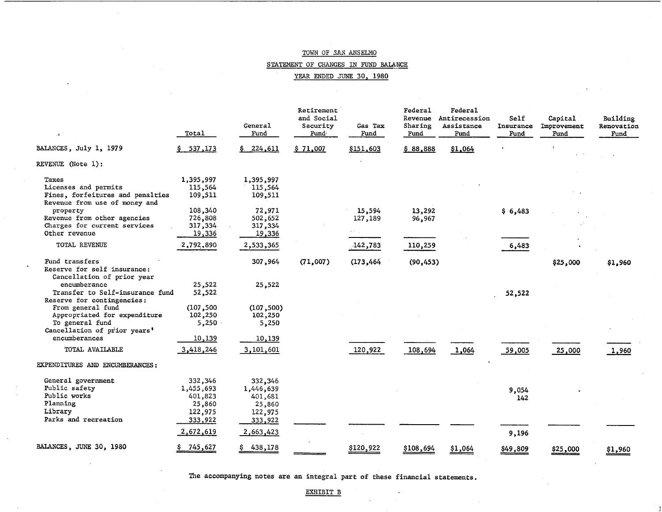# STATEMENT OF CHANGES IN FUND BALANCE

YEAR ENDED JUNE 30, 1980

| À.                                                                                                   | Total                                                | General<br>Fund                                      | Retirement<br>and Social<br>Security<br>Fund | Gas Tax<br>Fund   | Federal<br>Revenue<br>Sharing<br>Fund | Federal<br>Antirecession<br>Assistance<br>Fund | Self<br>Insurance<br>Fund | Capital<br>Improvement<br>Fund | Building<br>Renovation<br>Fund |
|------------------------------------------------------------------------------------------------------|------------------------------------------------------|------------------------------------------------------|----------------------------------------------|-------------------|---------------------------------------|------------------------------------------------|---------------------------|--------------------------------|--------------------------------|
| BALANCES, July 1, 1979                                                                               | \$ 537,173                                           | \$224,611                                            | \$71,007                                     | \$151,603         | \$88,888                              | \$1,064                                        |                           |                                |                                |
| REVENUE (Note 1):                                                                                    |                                                      |                                                      |                                              |                   |                                       |                                                |                           |                                |                                |
| Taxes<br>Licenses and permits<br>Fines, forfeitures and penalties<br>Revenue from use of money and   | 1,395,997<br>115,564<br>109,511                      | 1,395,997<br>115,564<br>109,511                      |                                              |                   |                                       |                                                |                           |                                |                                |
| property<br>Revenue from other agencies<br>Charges for current services                              | 108,340<br>726,808<br>317,334                        | 72,971<br>502,652<br>317,334                         |                                              | 15,594<br>127,189 | 13,292<br>96,967                      |                                                | \$6,483                   |                                |                                |
| Other revenue<br>TOTAL REVENUE                                                                       | 19,336<br>2,792,890                                  | 19,336<br>2,533,365                                  |                                              | 142,783           | 110,259                               |                                                | 6,483                     |                                |                                |
| Fund transfers<br>Reserve for self insurance:<br>Cancellation of prior year                          |                                                      | 307,964                                              | (71,007)                                     | (173, 464)        | (90, 453)                             |                                                |                           | \$25,000                       | \$1,960                        |
| encumberance<br>Transfer to Self-insurance fund<br>Reserve for contingencies:                        | 25,522<br>52,522                                     | 25,522                                               |                                              |                   |                                       |                                                | 52,522                    |                                |                                |
| From general fund<br>Appropriated for expenditure<br>To general fund<br>Cancellation of prior years' | (107, 500)<br>102,250<br>5,250                       | (107, 500)<br>102,250<br>5,250                       |                                              |                   |                                       |                                                |                           |                                |                                |
| encumberances<br>TOTAL AVAILABLE                                                                     | 10,139<br>3,418,246                                  | 10,139<br>3,101,601                                  |                                              | 120,922           | 108,694                               | 1,064                                          | 59,005                    | 25,000                         | 1,960                          |
| EXPENDITURES AND ENCUMBERANCES:                                                                      |                                                      |                                                      |                                              |                   |                                       |                                                |                           |                                |                                |
| General government<br>Public safety<br>Public works<br>Planning<br>Library                           | 332,346<br>1,455,693<br>401,823<br>25,860<br>122,975 | 332,346<br>1,446,639<br>401,681<br>25,860<br>122,975 |                                              |                   |                                       |                                                | 9,054<br>142              |                                |                                |
| Parks and recreation                                                                                 | 333,922<br>2,672,619                                 | 333,922<br>2,663,423                                 |                                              |                   |                                       |                                                | 9,196                     |                                |                                |
| BALANCES, JUNE 30, 1980                                                                              | <u>745,627</u>                                       | 438,178                                              |                                              | \$120,922         | \$108,694                             | \$1,064                                        | \$49,809                  | \$25,000                       | \$1,960                        |

The accompanying notes are an integral part of these financial statements.

#### EXHIBIT B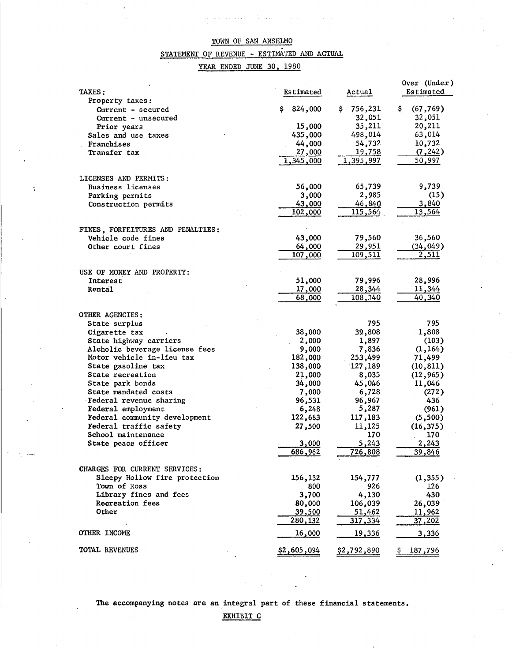# STATEMENT OF REVENUE - ESTIMATED AND ACTUAL

# YEAR ENDED JUNE 30, 1980

 $\ddot{\phantom{a}}$ 

| TAXES :                           | Estimated          | Actual        | Over (Under)<br>Estimated |
|-----------------------------------|--------------------|---------------|---------------------------|
| Property taxes:                   |                    |               |                           |
| Current - secured                 | 824,000<br>Ş.      | 756,231<br>\$ | (67, 769)<br>Ş.           |
| Current - unsecured               |                    | 32,051        | 32,051                    |
| Prior years                       | 15,000             | 35,211        | 20,211                    |
| Sales and use taxes               | 435,000            | 498,014       | 63,014                    |
| Franchises                        | 44,000             | 54,732        | 10,732                    |
| Transfer tax                      | 27,000             | 19,758        | (7, 242)                  |
|                                   | 1,345,000          | 1,395,997     | 50,997                    |
| LICENSES AND PERMITS:             |                    |               |                           |
| Business licenses                 | 56,000             | 65,739        | 9,739                     |
| Parking permits                   | 3,000              | 2,985         | (15)                      |
| Construction permits              | 43,000             | 46,840        | 3,840                     |
|                                   | 102,000            | 115,564       | 13,564                    |
|                                   |                    |               |                           |
| FINES, FORFEITURES AND PENALTIES: |                    |               |                           |
| Vehicle code fines                | 43,000             | 79,560        | 36,560                    |
| Other court fines                 | 64,000             | 29,951        | (34, 049)                 |
|                                   | 107,000            | 109,511       | 2,511                     |
| USE OF MONEY AND PROPERTY:        |                    |               |                           |
| Interest                          | 51,000             | 79,996        | 28,996                    |
| Rental                            | 17,000             | 28,344        | 11,344                    |
|                                   | 68,000             | 108,340       | 40,340                    |
|                                   |                    |               |                           |
| OTHER AGENCIES:                   |                    |               |                           |
| State surplus                     |                    | 795           | 795                       |
| Cigarette tax                     | 38,000             | 39,808        | 1,808                     |
| State highway carriers            | 2,000              | 1,897         | (103)                     |
| Alcholic beverage license fees    | 9,000              | 7,836         | (1, 164)                  |
| Motor vehicle in-lieu tax         | 182,000            | 253,499       | 71,499                    |
| State gasoline tax                | 138,000            | 127,189       | (10, 811)                 |
| State recreation                  | 21,000             | 8,035         | (12, 965)                 |
| State park bonds                  | 34,000             | 45,046        | 11,046                    |
| State mandated costs              | 7,000              | 6,728         | (272)                     |
| Federal revenue sharing           | 96,531             | 96,967        | 436                       |
| Federal employment                | 6,248              | 5,287         | (961)                     |
| Federal community development     | 122,683            | 117,183       | (5,500)                   |
| Federal traffic safety            | 27,500             | 11,125        | (16, 375)                 |
| School maintenance                |                    | 170           | 170                       |
| State peace officer               | 3,000              | 5,243         | 2,243                     |
|                                   | 686,962            | 726,808       | 39,846                    |
| CHARGES FOR CURRENT SERVICES:     |                    |               |                           |
| Sleepy Hollow fire protection     | 156,132            | 154,777       | (1,355)                   |
| Town of Ross                      | 800                | 926           | 126                       |
| Library fines and fees            | 3,700              | 4,130         | 430                       |
| Recreation fees                   | 80,000             | 106,039       | 26,039                    |
| Other                             | 39,500             | 51,462        | 11,962                    |
|                                   | 280,132            | 317,334       | 37,202                    |
| <b>OTHER INCOME</b>               | 16,000             | 19,336        | 3,336                     |
| TOTAL REVENUES                    | <u>\$2,605,094</u> | \$2,792,890   | 187,796                   |
|                                   |                    |               |                           |

The accompanying notes are an integral part of these financial statements.

EXHIBIT C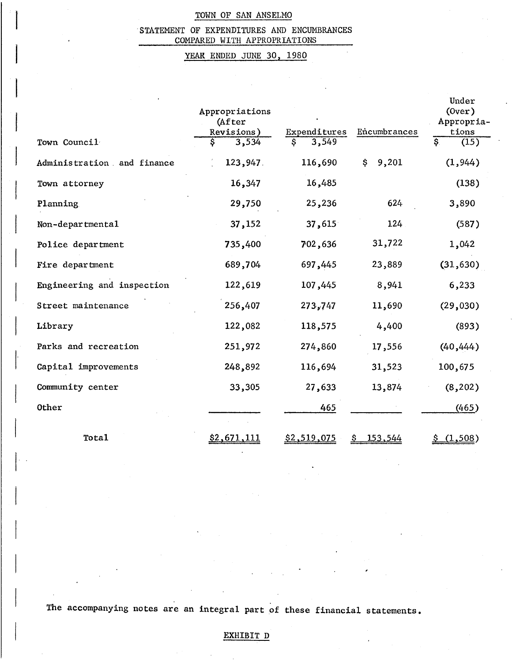# 'STATEMENT OF EXPENDITURES AND ENCUMBRANCES COMPARED WITH APPROPRIATIONS

# YEAR ENDED JUNE 30, 1980

| Town Council               | Appropriations<br>(After<br>Revisions)<br>3,534<br>\$ | Expenditures<br>3,549 | Encumbrances | Under<br>(0ver)<br>Appropria.<br>tions<br>इ<br>(15) |
|----------------------------|-------------------------------------------------------|-----------------------|--------------|-----------------------------------------------------|
| Administration and finance | 123,947.                                              | 116,690               | 9,201<br>\$  | (1, 944)                                            |
| Town attorney              | 16,347                                                | 16,485                |              | (138)                                               |
| Planning                   | 29,750                                                | 25,236                | 624          | 3,890                                               |
| Non-departmental           | 37,152                                                | 37,615                | 124          | (587)                                               |
| Police department          | 735,400                                               | 702,636               | 31,722       | 1,042                                               |
| Fire department            | 689,704                                               | 697,445               | 23,889       | (31, 630)                                           |
| Engineering and inspection | 122,619                                               | 107,445               | 8,941        | 6,233                                               |
| Street maintenance         | 256,407                                               | 273,747               | 11,690       | (29,030)                                            |
| Library                    | 122,082                                               | 118,575               | 4,400        | (893)                                               |
| Parks and recreation       | 251,972                                               | 274,860               | 17,556       | (40, 444)                                           |
| Capital improvements       | 248,892                                               | 116,694               | 31,523       | 100,675                                             |
| Community center           | 33,305                                                | 27,633                | 13,874       | (8, 202)                                            |
| <b>Other</b>               |                                                       | 465                   |              | (465)                                               |
|                            |                                                       |                       |              |                                                     |
| Total                      | <u>\$2,671,111</u>                                    | \$2,519,075           | 153,544      | \$(1,508)                                           |

The accompanying notes are an integral part of these financial statements.

# EXHIBIT D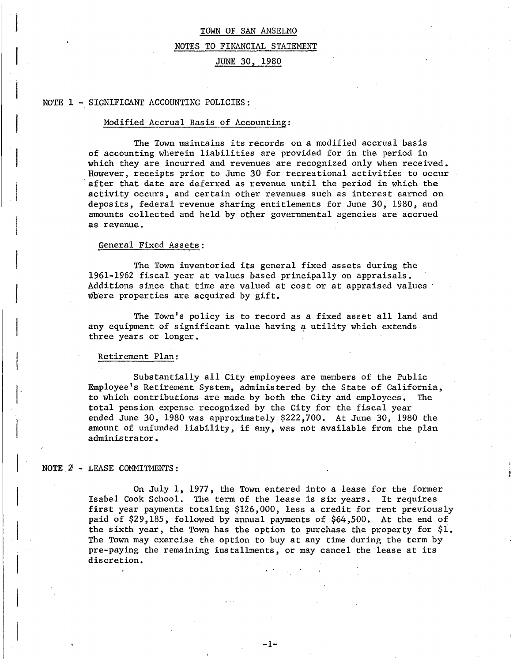#### NOTES TO FINANCIAL STATEMENT

# JUNE 30, 1980

#### NOTE 1 - SIGNIFICANT ACCOUNTING POLICIES:

#### Modified Accrual Basis of Accounting:

The Town maintains its records on a modified accrual basis of accounting wherein liabilities are provided for in the period in which they are incurred and revenues are recognized only when received. However, receipts prior to June 30 for recreational activities to occur after that date are deferred as revenue until the period in which the activity occurs, and certain other revenues such as interest earned on deposits, federal revenue sharing entitlements for June 30, 1980, and amounts collected and held by other governmental agencies are accrued as revenue.

#### General Fixed Assets:

The Town inventoried its general fixed assets during the 1961-1962 fiscal year at values based principally on appraisals •. Additions since that time are valued at cost or at appraised values where properties are acquired by gift.

The Town's policy is to record as a fixed asset all land and any equipment of significant value having a utility which extends three years or longer.

#### Retirement Plan:

Substantially all City employees are members of the Public Employee's Retirement System, administered by the State of California, to which contributions are made by both che City arid employees. The total pension expense recognized by the City for the fiscal year ended June 30, 1980 was approximately \$222,700. At June 30, 1980 the amount of unfunded liability, if any, was not available from the plan administrator.

#### NOTE 2 - LEASE COMMITMENTS:

On July 1, 1977, the Town entered into a lease for the former Isabel Cook School. The term of the lease is six years. It requires first year payments totaling \$126,000, less a credit for rent previously paid of \$29,185, followed by annual payments of \$64,500. At the end of the sixth year, the Town has the option to purchase the property for \$1. The Town may exercise the option to buy at any time during the term by pre-paying the remaining installments, or may cancel the lease at its discretion.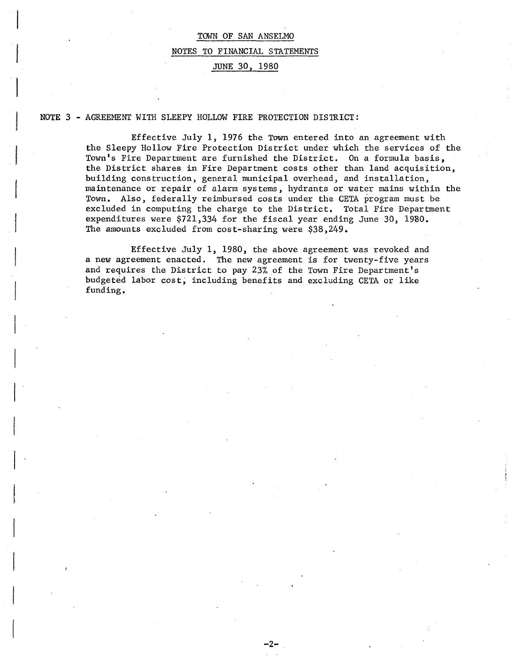# TOWN OF SAN ANSELMO NOTES TO FINANCIAL STATEMENTS JUNE 30, 1980

### NOTE 3 - AGREEMENT WITH SLEEPY HOLLOW FIRE PROTECTION DISTRICT:

Effective July 1, 1976 the Town entered into an agreement with the Sleepy Hollow Fire Protection District under which the services of the Town's Fire Department are furnished the District. On a formula basis, the District shares in Fire Department costs other than land acquisition, building construction, general municipal overhead, and installation, maintenance or repair of alarm systems, hydrants or water mains within the Town. Also, federally reimbursed costs under the CETA program must be excluded in computing the charge to the District. Total Fire Department expenditures were \$721,334 for the fiscal year ending June 30, 1980. The amounts excluded from cost-sharing were \$38,249.

Effective July 1, 1980, the above agreement was revoked and a new agreement enacted. The new agreement is for twenty-five years and requires the District to pay 23% of the Town Fire Department's budgeted labor cost; including benefits and excluding CETA or like funding.

 $-2-$